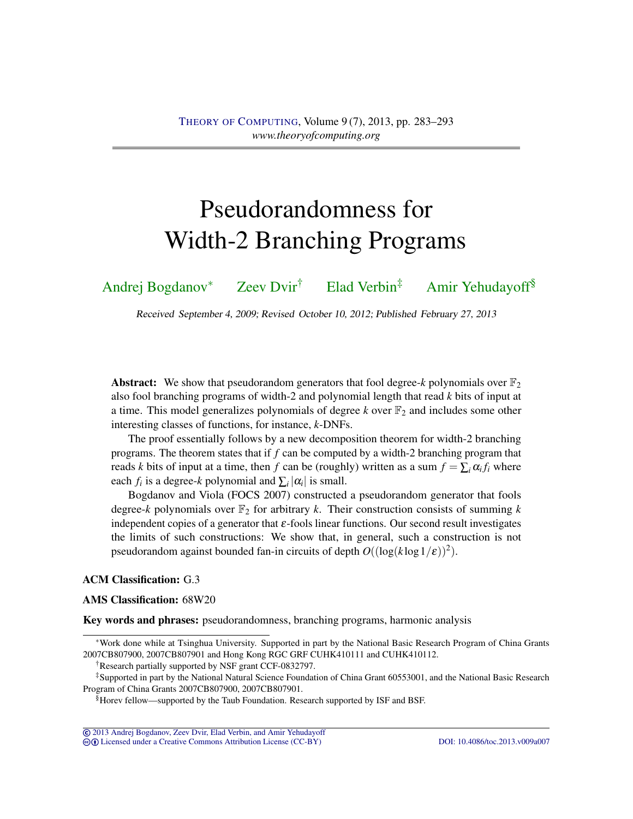# Pseudorandomness for Width-2 Branching Programs

[Andrej Bogdanov](#page-9-0)<sup>∗</sup> [Zeev Dvir](#page-9-1)† [Elad Verbin](#page-9-2)‡ [Amir Yehudayoff](#page-9-3)§

Received September 4, 2009; Revised October 10, 2012; Published February 27, 2013

**Abstract:** We show that pseudorandom generators that fool degree- $k$  polynomials over  $\mathbb{F}_2$ also fool branching programs of width-2 and polynomial length that read *k* bits of input at a time. This model generalizes polynomials of degree  $k$  over  $\mathbb{F}_2$  and includes some other interesting classes of functions, for instance, *k*-DNFs.

The proof essentially follows by a new decomposition theorem for width-2 branching programs. The theorem states that if *f* can be computed by a width-2 branching program that reads *k* bits of input at a time, then *f* can be (roughly) written as a sum  $f = \sum_i \alpha_i f_i$  where each  $f_i$  is a degree- $k$  polynomial and  $\sum_i |\alpha_i|$  is small.

Bogdanov and Viola (FOCS 2007) constructed a pseudorandom generator that fools degree- $k$  polynomials over  $\mathbb{F}_2$  for arbitrary  $k$ . Their construction consists of summing  $k$ independent copies of a generator that  $\varepsilon$ -fools linear functions. Our second result investigates the limits of such constructions: We show that, in general, such a construction is not pseudorandom against bounded fan-in circuits of depth  $O((\log(k \log 1/\epsilon))^2)$ .

## ACM Classification: G.3

#### AMS Classification: 68W20

Key words and phrases: pseudorandomness, branching programs, harmonic analysis

cb [Licensed under a Creative Commons Attribution License \(CC-BY\)](http://creativecommons.org/licenses/by/3.0/) [DOI: 10.4086/toc.2013.v009a007](http://dx.doi.org/10.4086/toc.2013.v009a007)

<sup>∗</sup>Work done while at Tsinghua University. Supported in part by the National Basic Research Program of China Grants 2007CB807900, 2007CB807901 and Hong Kong RGC GRF CUHK410111 and CUHK410112.

<sup>†</sup>Research partially supported by NSF grant CCF-0832797.

<sup>‡</sup>Supported in part by the National Natural Science Foundation of China Grant 60553001, and the National Basic Research Program of China Grants 2007CB807900, 2007CB807901.

<sup>§</sup>Horev fellow—supported by the Taub Foundation. Research supported by ISF and BSF.

<sup>©</sup> [2013 Andrej Bogdanov, Zeev Dvir, Elad Verbin, and Amir Yehudayoff](http://theoryofcomputing.org/copyright2009.html)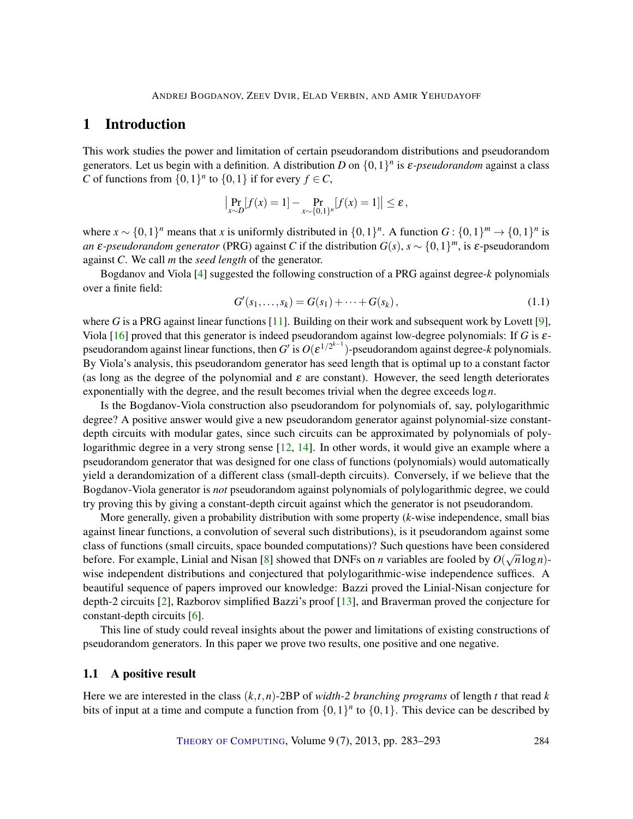## <span id="page-1-1"></span><span id="page-1-0"></span>1 Introduction

This work studies the power and limitation of certain pseudorandom distributions and pseudorandom generators. Let us begin with a definition. A distribution *D* on {0,1} *n* is ε*-pseudorandom* against a class *C* of functions from  $\{0,1\}^n$  to  $\{0,1\}$  if for every  $f \in C$ ,

$$
\left|\Pr_{x \sim D}[f(x) = 1] - \Pr_{x \sim \{0,1\}^n}[f(x) = 1]\right| \le \varepsilon,
$$

where  $x \sim \{0, 1\}^n$  means that *x* is uniformly distributed in  $\{0, 1\}^n$ . A function  $G: \{0, 1\}^m \to \{0, 1\}^n$  is *an*  $\varepsilon$ -*pseudorandom generator* (PRG) against *C* if the distribution  $G(s)$ ,  $s \sim \{0,1\}^m$ , is  $\varepsilon$ -pseudorandom against *C*. We call *m* the *seed length* of the generator.

Bogdanov and Viola [\[4\]](#page-7-0) suggested the following construction of a PRG against degree-*k* polynomials over a finite field:

$$
G'(s_1,...,s_k) = G(s_1) + \dots + G(s_k), \qquad (1.1)
$$

where *G* is a PRG against linear functions [\[11\]](#page-8-0). Building on their work and subsequent work by Lovett [\[9\]](#page-8-1), Viola [\[16\]](#page-8-2) proved that this generator is indeed pseudorandom against low-degree polynomials: If *G* is εpseudorandom against linear functions, then *G*<sup> $\prime$ </sup> is  $O(\varepsilon^{1/2^{k-1}})$ -pseudorandom against degree-*k* polynomials. By Viola's analysis, this pseudorandom generator has seed length that is optimal up to a constant factor (as long as the degree of the polynomial and  $\varepsilon$  are constant). However, the seed length deteriorates exponentially with the degree, and the result becomes trivial when the degree exceeds log*n*.

Is the Bogdanov-Viola construction also pseudorandom for polynomials of, say, polylogarithmic degree? A positive answer would give a new pseudorandom generator against polynomial-size constantdepth circuits with modular gates, since such circuits can be approximated by polynomials of polylogarithmic degree in a very strong sense [\[12,](#page-8-3) [14\]](#page-8-4). In other words, it would give an example where a pseudorandom generator that was designed for one class of functions (polynomials) would automatically yield a derandomization of a different class (small-depth circuits). Conversely, if we believe that the Bogdanov-Viola generator is *not* pseudorandom against polynomials of polylogarithmic degree, we could try proving this by giving a constant-depth circuit against which the generator is not pseudorandom.

More generally, given a probability distribution with some property (*k*-wise independence, small bias against linear functions, a convolution of several such distributions), is it pseudorandom against some class of functions (small circuits, space bounded computations)? Such questions have been considered before. For example, Linial and Nisan [\[8\]](#page-8-5) showed that DNFs on *n* variables are fooled by  $O(\sqrt{n}\log n)$ wise independent distributions and conjectured that polylogarithmic-wise independence suffices. A beautiful sequence of papers improved our knowledge: Bazzi proved the Linial-Nisan conjecture for depth-2 circuits [\[2\]](#page-7-1), Razborov simplified Bazzi's proof [\[13\]](#page-8-6), and Braverman proved the conjecture for constant-depth circuits [\[6\]](#page-7-2).

This line of study could reveal insights about the power and limitations of existing constructions of pseudorandom generators. In this paper we prove two results, one positive and one negative.

## 1.1 A positive result

Here we are interested in the class  $(k, t, n)$ -2BP of *width-2 branching programs* of length *t* that read *k* bits of input at a time and compute a function from  $\{0,1\}^n$  to  $\{0,1\}$ . This device can be described by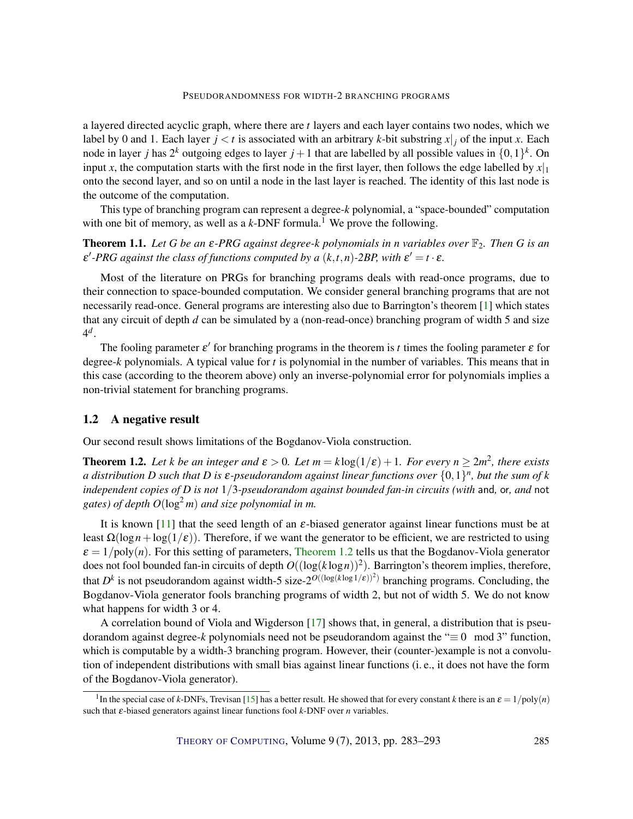<span id="page-2-2"></span>a layered directed acyclic graph, where there are *t* layers and each layer contains two nodes, which we label by 0 and 1. Each layer  $j < t$  is associated with an arbitrary *k*-bit substring  $x|_j$  of the input *x*. Each node in layer *j* has  $2^k$  outgoing edges to layer  $j + 1$  that are labelled by all possible values in  $\{0,1\}^k$ . On input *x*, the computation starts with the first node in the first layer, then follows the edge labelled by  $x|_1$ onto the second layer, and so on until a node in the last layer is reached. The identity of this last node is the outcome of the computation.

This type of branching program can represent a degree-*k* polynomial, a "space-bounded" computation with one bit of memory, as well as a  $k$ -DNF formula.<sup>1</sup> We prove the following.

<span id="page-2-1"></span>**Theorem 1.1.** Let G be an  $\varepsilon$ -PRG against degree-k polynomials in *n* variables over  $\mathbb{F}_2$ . Then G is an  $\varepsilon'$ -PRG against the class of functions computed by a  $(k,t,n)$ -2BP, with  $\varepsilon' = t \cdot \varepsilon$ .

Most of the literature on PRGs for branching programs deals with read-once programs, due to their connection to space-bounded computation. We consider general branching programs that are not necessarily read-once. General programs are interesting also due to Barrington's theorem [\[1\]](#page-7-3) which states that any circuit of depth *d* can be simulated by a (non-read-once) branching program of width 5 and size 4 *d* .

The fooling parameter  $\varepsilon'$  for branching programs in the theorem is *t* times the fooling parameter  $\varepsilon$  for degree-*k* polynomials. A typical value for *t* is polynomial in the number of variables. This means that in this case (according to the theorem above) only an inverse-polynomial error for polynomials implies a non-trivial statement for branching programs.

### 1.2 A negative result

Our second result shows limitations of the Bogdanov-Viola construction.

<span id="page-2-0"></span>**Theorem 1.2.** Let *k* be an integer and  $\varepsilon > 0$ . Let  $m = k \log(1/\varepsilon) + 1$ . For every  $n \geq 2m^2$ , there exists  $a$  distribution  $D$  such that  $D$  is  $\varepsilon$ -pseudorandom against linear functions over  $\{0,1\}^n$ , but the sum of  $k$ *independent copies of D is not* 1/3*-pseudorandom against bounded fan-in circuits (with* and*,* or*, and* not *gates) of depth*  $O(\log^2 m)$  *and size polynomial in m.* 

It is known [\[11\]](#page-8-0) that the seed length of an  $\varepsilon$ -biased generator against linear functions must be at least  $\Omega(\log n + \log(1/\epsilon))$ . Therefore, if we want the generator to be efficient, we are restricted to using  $\varepsilon = 1/\text{poly}(n)$ . For this setting of parameters, [Theorem](#page-2-0) [1.2](#page-2-0) tells us that the Bogdanov-Viola generator does not fool bounded fan-in circuits of depth  $O((\log(k \log n))^2)$ . Barrington's theorem implies, therefore, that  $D^k$  is not pseudorandom against width-5 size- $2^{O((\log(k \log 1/\varepsilon))^2)}$  branching programs. Concluding, the Bogdanov-Viola generator fools branching programs of width 2, but not of width 5. We do not know what happens for width 3 or 4.

A correlation bound of Viola and Wigderson [\[17\]](#page-8-7) shows that, in general, a distribution that is pseudorandom against degree-*k* polynomials need not be pseudorandom against the "≡ 0 mod 3" function, which is computable by a width-3 branching program. However, their (counter-)example is not a convolution of independent distributions with small bias against linear functions (i. e., it does not have the form of the Bogdanov-Viola generator).

<sup>&</sup>lt;sup>1</sup>In the special case of *k*-DNFs, Trevisan [\[15\]](#page-8-8) has a better result. He showed that for every constant *k* there is an  $\varepsilon = 1/\text{poly}(n)$ such that ε-biased generators against linear functions fool *k*-DNF over *n* variables.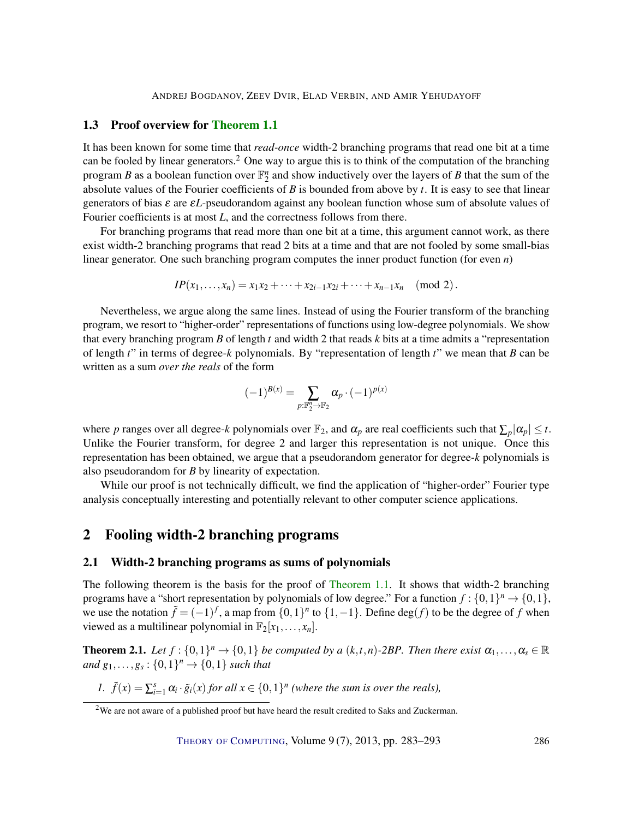ANDREJ BOGDANOV, ZEEV DVIR, ELAD VERBIN, AND AMIR YEHUDAYOFF

## 1.3 Proof overview for [Theorem](#page-2-1) [1.1](#page-2-1)

It has been known for some time that *read-once* width-2 branching programs that read one bit at a time can be fooled by linear generators.<sup>2</sup> One way to argue this is to think of the computation of the branching program *B* as a boolean function over  $\mathbb{F}_2^n$  and show inductively over the layers of *B* that the sum of the absolute values of the Fourier coefficients of *B* is bounded from above by *t*. It is easy to see that linear generators of bias ε are ε*L*-pseudorandom against any boolean function whose sum of absolute values of Fourier coefficients is at most *L*, and the correctness follows from there.

For branching programs that read more than one bit at a time, this argument cannot work, as there exist width-2 branching programs that read 2 bits at a time and that are not fooled by some small-bias linear generator. One such branching program computes the inner product function (for even *n*)

$$
IP(x_1,...,x_n) = x_1x_2 + \cdots + x_{2i-1}x_{2i} + \cdots + x_{n-1}x_n \pmod{2}.
$$

Nevertheless, we argue along the same lines. Instead of using the Fourier transform of the branching program, we resort to "higher-order" representations of functions using low-degree polynomials. We show that every branching program *B* of length *t* and width 2 that reads *k* bits at a time admits a "representation of length *t*" in terms of degree-*k* polynomials. By "representation of length *t*" we mean that *B* can be written as a sum *over the reals* of the form

$$
(-1)^{B(x)} = \sum_{p:\mathbb{F}_2^n \to \mathbb{F}_2} \alpha_p \cdot (-1)^{p(x)}
$$

where *p* ranges over all degree-*k* polynomials over  $\mathbb{F}_2$ , and  $\alpha_p$  are real coefficients such that  $\sum_p |\alpha_p| \leq t$ . Unlike the Fourier transform, for degree 2 and larger this representation is not unique. Once this representation has been obtained, we argue that a pseudorandom generator for degree-*k* polynomials is also pseudorandom for *B* by linearity of expectation.

While our proof is not technically difficult, we find the application of "higher-order" Fourier type analysis conceptually interesting and potentially relevant to other computer science applications.

## 2 Fooling width-2 branching programs

#### 2.1 Width-2 branching programs as sums of polynomials

The following theorem is the basis for the proof of [Theorem](#page-2-1) [1.1.](#page-2-1) It shows that width-2 branching programs have a "short representation by polynomials of low degree." For a function  $f: \{0,1\}^n \to \{0,1\}$ , we use the notation  $\tilde{f} = (-1)^f$ , a map from  $\{0,1\}^n$  to  $\{1,-1\}$ . Define  $\deg(f)$  to be the degree of *f* when viewed as a multilinear polynomial in  $\mathbb{F}_2[x_1,\ldots,x_n]$ .

<span id="page-3-0"></span>**Theorem 2.1.** Let  $f: \{0,1\}^n \to \{0,1\}$  be computed by a  $(k,t,n)$ -2BP. Then there exist  $\alpha_1,\ldots,\alpha_s \in \mathbb{R}$  $and g_1,...,g_s: \{0,1\}^n \to \{0,1\}$  *such that* 

*1.*  $\tilde{f}(x) = \sum_{i=1}^{s} \alpha_i \cdot \tilde{g}_i(x)$  *for all*  $x \in \{0,1\}^n$  (where the sum is over the reals),

<sup>&</sup>lt;sup>2</sup>We are not aware of a published proof but have heard the result credited to Saks and Zuckerman.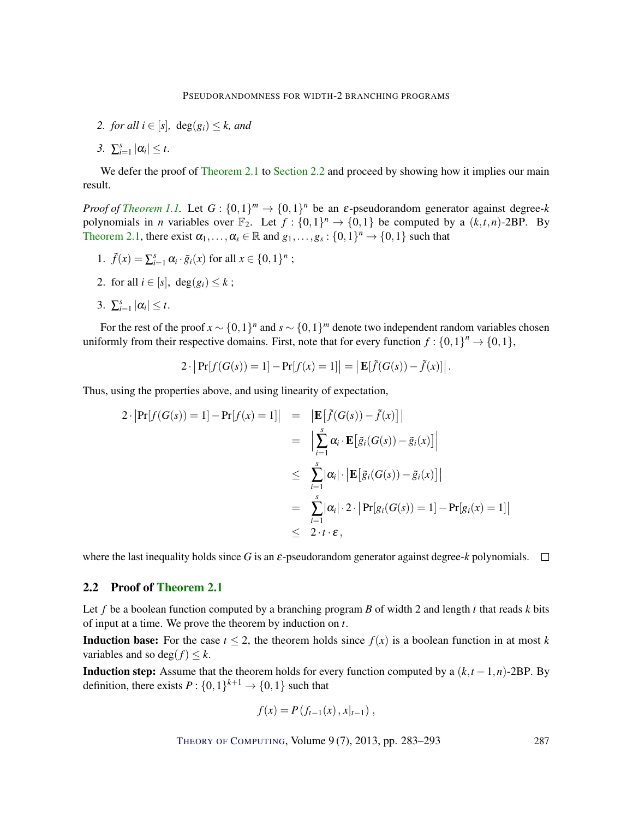- *2. for all*  $i \in [s]$ ,  $deg(g_i) \leq k$ , *and*
- 3.  $\sum_{i=1}^s |\alpha_i| \leq t$ .

We defer the proof of [Theorem](#page-3-0) [2.1](#page-3-0) to [Section](#page-4-0) [2.2](#page-4-0) and proceed by showing how it implies our main result.

*Proof of [Theorem](#page-2-1) [1.1.](#page-2-1)* Let  $G: \{0,1\}^m \to \{0,1\}^n$  be an  $\varepsilon$ -pseudorandom generator against degree-k polynomials in *n* variables over  $\mathbb{F}_2$ . Let  $f: \{0,1\}^n \to \{0,1\}$  be computed by a  $(k,t,n)$ -2BP. By [Theorem](#page-3-0) [2.1,](#page-3-0) there exist  $\alpha_1, \ldots, \alpha_s \in \mathbb{R}$  and  $g_1, \ldots, g_s : \{0,1\}^n \to \{0,1\}$  such that

- 1.  $\tilde{f}(x) = \sum_{i=1}^{s} \alpha_i \cdot \tilde{g}_i(x)$  for all  $x \in \{0, 1\}^n$ ;
- 2. for all  $i \in [s]$ , deg $(g_i) \leq k$ ;
- 3.  $\sum_{i=1}^s |\alpha_i| \leq t$ .

For the rest of the proof  $x \sim \{0,1\}^n$  and  $s \sim \{0,1\}^m$  denote two independent random variables chosen uniformly from their respective domains. First, note that for every function  $f: \{0,1\}^n \rightarrow \{0,1\}$ ,

$$
2 \cdot \left| \Pr[f(G(s)) = 1] - \Pr[f(x) = 1] \right| = \left| \mathbf{E}[\tilde{f}(G(s)) - \tilde{f}(x)] \right|.
$$

Thus, using the properties above, and using linearity of expectation,

$$
2 \cdot |\Pr[f(G(s)) = 1] - \Pr[f(x) = 1]| = |\mathbf{E}[\tilde{f}(G(s)) - \tilde{f}(x)]|
$$
  
\n
$$
= |\sum_{i=1}^{s} \alpha_{i} \cdot \mathbf{E}[\tilde{g}_{i}(G(s)) - \tilde{g}_{i}(x)]|
$$
  
\n
$$
\leq \sum_{i=1}^{s} |\alpha_{i}| \cdot |\mathbf{E}[\tilde{g}_{i}(G(s)) - \tilde{g}_{i}(x)]|
$$
  
\n
$$
= \sum_{i=1}^{s} |\alpha_{i}| \cdot 2 \cdot |\Pr[g_{i}(G(s)) = 1] - \Pr[g_{i}(x) = 1]|
$$
  
\n
$$
\leq 2 \cdot t \cdot \varepsilon,
$$

where the last inequality holds since *G* is an  $\varepsilon$ -pseudorandom generator against degree-*k* polynomials.  $\square$ 

## <span id="page-4-0"></span>2.2 Proof of [Theorem](#page-3-0) [2.1](#page-3-0)

Let *f* be a boolean function computed by a branching program *B* of width 2 and length *t* that reads *k* bits of input at a time. We prove the theorem by induction on *t*.

**Induction base:** For the case  $t \leq 2$ , the theorem holds since  $f(x)$  is a boolean function in at most *k* variables and so deg( $f$ )  $\leq k$ .

**Induction step:** Assume that the theorem holds for every function computed by a  $(k,t-1,n)$ -2BP. By definition, there exists  $P: \{0,1\}^{k+1} \rightarrow \{0,1\}$  such that

$$
f(x) = P(f_{t-1}(x), x|_{t-1}),
$$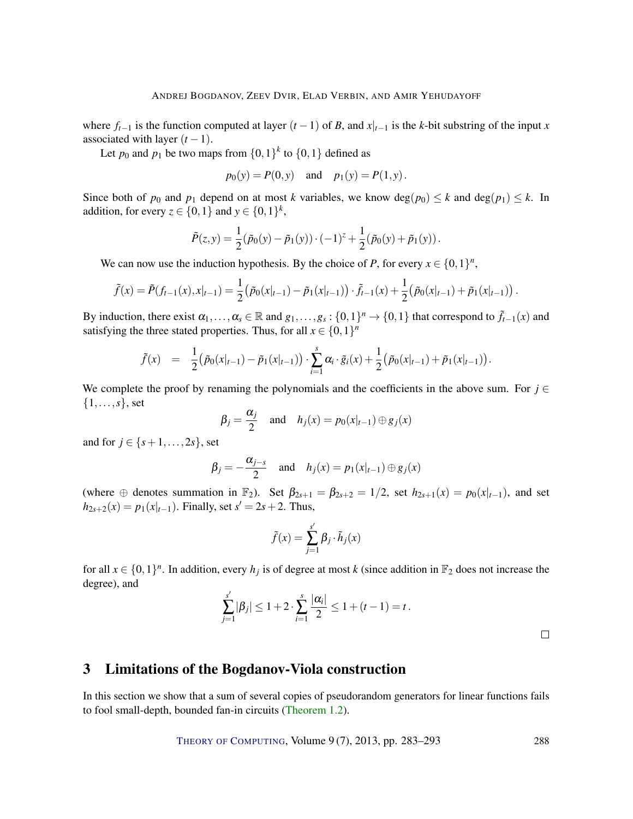where  $f_{t-1}$  is the function computed at layer  $(t-1)$  of *B*, and  $x|_{t-1}$  is the *k*-bit substring of the input *x* associated with layer  $(t-1)$ .

Let  $p_0$  and  $p_1$  be two maps from  $\{0,1\}^k$  to  $\{0,1\}$  defined as

$$
p_0(y) = P(0, y)
$$
 and  $p_1(y) = P(1, y)$ .

Since both of  $p_0$  and  $p_1$  depend on at most *k* variables, we know  $deg(p_0) \leq k$  and  $deg(p_1) \leq k$ . In addition, for every  $z \in \{0, 1\}$  and  $y \in \{0, 1\}^k$ ,

$$
\tilde{P}(z, y) = \frac{1}{2} (\tilde{p}_0(y) - \tilde{p}_1(y)) \cdot (-1)^z + \frac{1}{2} (\tilde{p}_0(y) + \tilde{p}_1(y)).
$$

We can now use the induction hypothesis. By the choice of *P*, for every  $x \in \{0,1\}^n$ ,

$$
\tilde{f}(x) = \tilde{P}(f_{t-1}(x), x|_{t-1}) = \frac{1}{2} (\tilde{p}_0(x|_{t-1}) - \tilde{p}_1(x|_{t-1})) \cdot \tilde{f}_{t-1}(x) + \frac{1}{2} (\tilde{p}_0(x|_{t-1}) + \tilde{p}_1(x|_{t-1})) .
$$

By induction, there exist  $\alpha_1, \ldots, \alpha_s \in \mathbb{R}$  and  $g_1, \ldots, g_s : \{0,1\}^n \to \{0,1\}$  that correspond to  $\tilde{f}_{t-1}(x)$  and satisfying the three stated properties. Thus, for all  $x \in \{0,1\}^n$ 

$$
\tilde{f}(x) = \frac{1}{2} \big( \tilde{p}_0(x|_{t-1}) - \tilde{p}_1(x|_{t-1}) \big) \cdot \sum_{i=1}^s \alpha_i \cdot \tilde{g}_i(x) + \frac{1}{2} \big( \tilde{p}_0(x|_{t-1}) + \tilde{p}_1(x|_{t-1}) \big).
$$

We complete the proof by renaming the polynomials and the coefficients in the above sum. For  $j \in$ {1,...,*s*}, set

$$
\beta_j = \frac{\alpha_j}{2}
$$
 and  $h_j(x) = p_0(x|_{t-1}) \oplus g_j(x)$ 

and for  $j \in \{s+1, ..., 2s\}$ , set

$$
\beta_j = -\frac{\alpha_{j-s}}{2} \quad \text{and} \quad h_j(x) = p_1(x|_{t-1}) \oplus g_j(x)
$$

(where  $\oplus$  denotes summation in  $\mathbb{F}_2$ ). Set  $\beta_{2s+1} = \beta_{2s+2} = 1/2$ , set  $h_{2s+1}(x) = p_0(x|_{t-1})$ , and set  $h_{2s+2}(x) = p_1(x|_{t-1})$ . Finally, set  $s' = 2s + 2$ . Thus,

$$
\tilde{f}(x) = \sum_{j=1}^{s'} \beta_j \cdot \tilde{h}_j(x)
$$

for all  $x \in \{0,1\}^n$ . In addition, every  $h_j$  is of degree at most k (since addition in  $\mathbb{F}_2$  does not increase the degree), and

$$
\sum_{j=1}^{s'} |\beta_j| \le 1 + 2 \cdot \sum_{i=1}^{s} \frac{|\alpha_i|}{2} \le 1 + (t - 1) = t.
$$

 $\Box$ 

# 3 Limitations of the Bogdanov-Viola construction

In this section we show that a sum of several copies of pseudorandom generators for linear functions fails to fool small-depth, bounded fan-in circuits [\(Theorem](#page-2-0) [1.2\)](#page-2-0).

THEORY OF C[OMPUTING](http://dx.doi.org/10.4086/toc), Volume 9 (7), 2013, pp. 283–293 288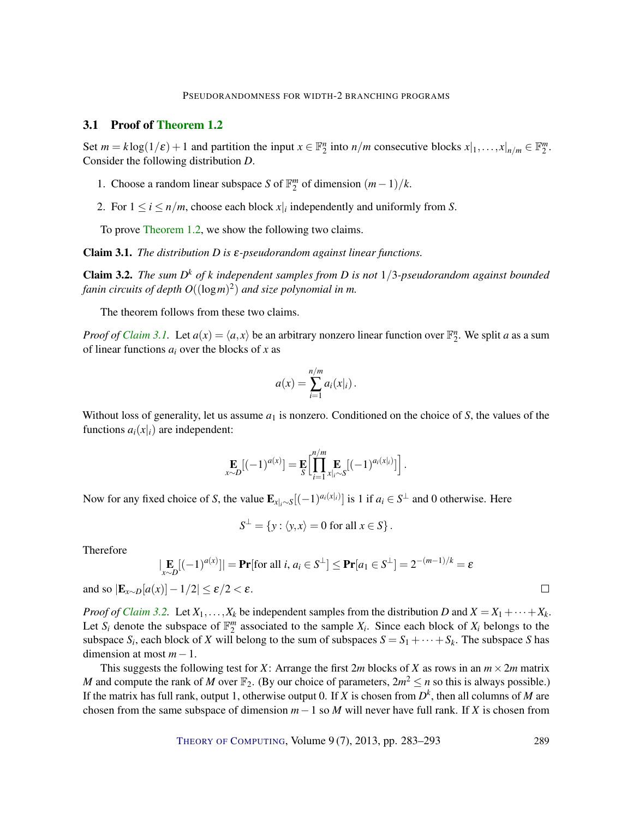#### 3.1 Proof of [Theorem](#page-2-0) [1.2](#page-2-0)

Set  $m = k \log(1/\varepsilon) + 1$  and partition the input  $x \in \mathbb{F}_2^n$  into  $n/m$  consecutive blocks  $x|_1, \ldots, x|_{n/m} \in \mathbb{F}_2^m$ . Consider the following distribution *D*.

- 1. Choose a random linear subspace *S* of  $\mathbb{F}_2^m$  of dimension  $(m-1)/k$ .
- 2. For  $1 \le i \le n/m$ , choose each block  $x|_i$  independently and uniformly from *S*.

To prove [Theorem](#page-2-0) [1.2,](#page-2-0) we show the following two claims.

<span id="page-6-0"></span>Claim 3.1. *The distribution D is* ε*-pseudorandom against linear functions.*

<span id="page-6-1"></span>Claim 3.2. *The sum D <sup>k</sup> of k independent samples from D is not* 1/3*-pseudorandom against bounded fanin circuits of depth O*((log*m*) 2 ) *and size polynomial in m.*

The theorem follows from these two claims.

*Proof of [Claim](#page-6-0) [3.1.](#page-6-0)* Let  $a(x) = \langle a, x \rangle$  be an arbitrary nonzero linear function over  $\mathbb{F}_2^n$ . We split *a* as a sum of linear functions *a<sup>i</sup>* over the blocks of *x* as

$$
a(x) = \sum_{i=1}^{n/m} a_i(x|_i).
$$

Without loss of generality, let us assume  $a_1$  is nonzero. Conditioned on the choice of  $S$ , the values of the functions  $a_i(x|_i)$  are independent:

$$
\mathop{\mathbf{E}}_{x \sim D} [(-1)^{a(x)}] = \mathop{\mathbf{E}}_{S} \Biggl[ \prod_{i=1}^{n/m} \mathop{\mathbf{E}}_{x | i \sim S} [(-1)^{a_i(x|i)}] \Biggr].
$$

Now for any fixed choice of *S*, the value  $\mathbf{E}_{x|i}$ ∼*S*[(-1)<sup>*a*<sub>*i*</sub>( $x|i$ )</sub> is 1 if  $a_i \in S^{\perp}$  and 0 otherwise. Here</sup>

$$
S^{\perp} = \{ y : \langle y, x \rangle = 0 \text{ for all } x \in S \}.
$$

Therefore

$$
\left| \mathbf{E}_{x \sim D} [(-1)^{a(x)}] \right| = \mathbf{Pr}[\text{for all } i, a_i \in S^{\perp}] \leq \mathbf{Pr}[a_1 \in S^{\perp}] = 2^{-(m-1)/k} = \varepsilon
$$

 $\Box$ 

and so  $|\mathbf{E}_{x \sim D}[a(x)] - 1/2| \le \varepsilon/2 < \varepsilon$ .

*Proof of [Claim](#page-6-1)* [3.2.](#page-6-1) Let  $X_1, \ldots, X_k$  be independent samples from the distribution *D* and  $X = X_1 + \cdots + X_k$ . Let  $S_i$  denote the subspace of  $\mathbb{F}_2^m$  associated to the sample  $X_i$ . Since each block of  $X_i$  belongs to the subspace  $S_i$ , each block of *X* will belong to the sum of subspaces  $S = S_1 + \cdots + S_k$ . The subspace *S* has dimension at most *m*−1.

This suggests the following test for *X*: Arrange the first 2*m* blocks of *X* as rows in an  $m \times 2m$  matrix *M* and compute the rank of *M* over  $\mathbb{F}_2$ . (By our choice of parameters,  $2m^2 \le n$  so this is always possible.) If the matrix has full rank, output 1, otherwise output 0. If *X* is chosen from  $D<sup>k</sup>$ , then all columns of *M* are chosen from the same subspace of dimension  $m-1$  so  $M$  will never have full rank. If  $X$  is chosen from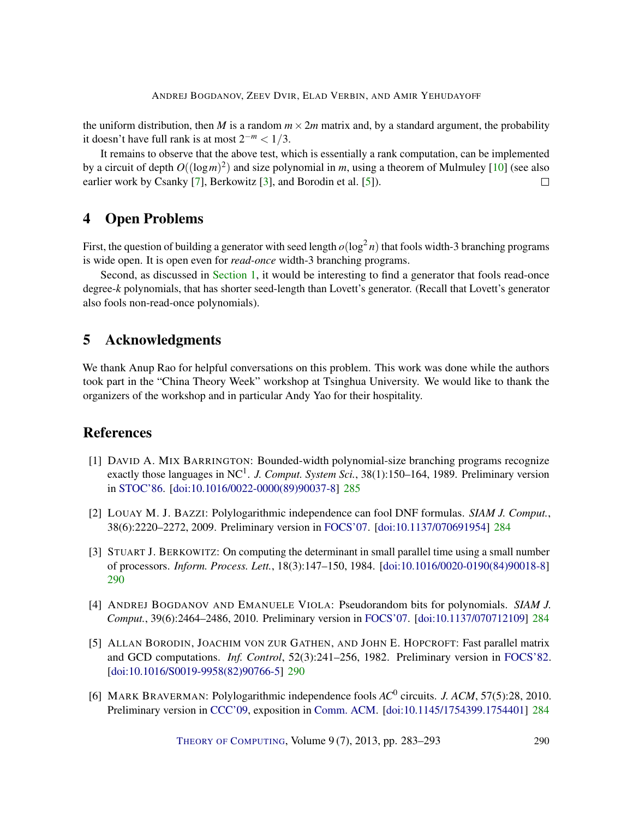<span id="page-7-6"></span>the uniform distribution, then *M* is a random  $m \times 2m$  matrix and, by a standard argument, the probability it doesn't have full rank is at most  $2^{-m}$  < 1/3.

It remains to observe that the above test, which is essentially a rank computation, can be implemented by a circuit of depth *O*((log*m*) 2 ) and size polynomial in *m*, using a theorem of Mulmuley [\[10\]](#page-8-9) (see also earlier work by Csanky [\[7\]](#page-8-10), Berkowitz [\[3\]](#page-7-4), and Borodin et al. [\[5\]](#page-7-5)).  $\Box$ 

# 4 Open Problems

First, the question of building a generator with seed length  $o(\log^2 n)$  that fools width-3 branching programs is wide open. It is open even for *read-once* width-3 branching programs.

Second, as discussed in [Section](#page-1-0) [1,](#page-1-0) it would be interesting to find a generator that fools read-once degree-*k* polynomials, that has shorter seed-length than Lovett's generator. (Recall that Lovett's generator also fools non-read-once polynomials).

# 5 Acknowledgments

We thank Anup Rao for helpful conversations on this problem. This work was done while the authors took part in the "China Theory Week" workshop at Tsinghua University. We would like to thank the organizers of the workshop and in particular Andy Yao for their hospitality.

# References

- <span id="page-7-3"></span>[1] DAVID A. MIX BARRINGTON: Bounded-width polynomial-size branching programs recognize exactly those languages in NC<sup>1</sup>. J. Comput. System Sci., 38(1):150–164, 1989. Preliminary version in [STOC'86.](http://dx.doi.org/10.1145/12130.12131) [\[doi:10.1016/0022-0000\(89\)90037-8\]](http://dx.doi.org/10.1016/0022-0000(89)90037-8) [285](#page-2-2)
- <span id="page-7-1"></span>[2] LOUAY M. J. BAZZI: Polylogarithmic independence can fool DNF formulas. *SIAM J. Comput.*, 38(6):2220–2272, 2009. Preliminary version in [FOCS'07.](http://dx.doi.org/10.1109/FOCS.2007.28) [\[doi:10.1137/070691954\]](http://dx.doi.org/10.1137/070691954) [284](#page-1-1)
- <span id="page-7-4"></span>[3] STUART J. BERKOWITZ: On computing the determinant in small parallel time using a small number of processors. *Inform. Process. Lett.*, 18(3):147–150, 1984. [\[doi:10.1016/0020-0190\(84\)90018-8\]](http://dx.doi.org/10.1016/0020-0190(84)90018-8) [290](#page-7-6)
- <span id="page-7-0"></span>[4] ANDREJ BOGDANOV AND EMANUELE VIOLA: Pseudorandom bits for polynomials. *SIAM J. Comput.*, 39(6):2464–2486, 2010. Preliminary version in [FOCS'07.](http://dx.doi.org/10.1109/FOCS.2007.42) [\[doi:10.1137/070712109\]](http://dx.doi.org/10.1137/070712109) [284](#page-1-1)
- <span id="page-7-5"></span>[5] ALLAN BORODIN, JOACHIM VON ZUR GATHEN, AND JOHN E. HOPCROFT: Fast parallel matrix and GCD computations. *Inf. Control*, 52(3):241–256, 1982. Preliminary version in [FOCS'82.](http://dx.doi.org/10.1109/SFCS.1982.17) [\[doi:10.1016/S0019-9958\(82\)90766-5\]](http://dx.doi.org/10.1016/S0019-9958(82)90766-5) [290](#page-7-6)
- <span id="page-7-2"></span>[6] MARK BRAVERMAN: Polylogarithmic independence fools *AC*<sup>0</sup> circuits. *J. ACM*, 57(5):28, 2010. Preliminary version in [CCC'09,](http://dx.doi.org/10.1109/CCC.2009.35) exposition in [Comm. ACM.](http://dl.acm.org/citation.cfm?id=1924421.1924446) [\[doi:10.1145/1754399.1754401\]](http://dx.doi.org/10.1145/1754399.1754401) [284](#page-1-1)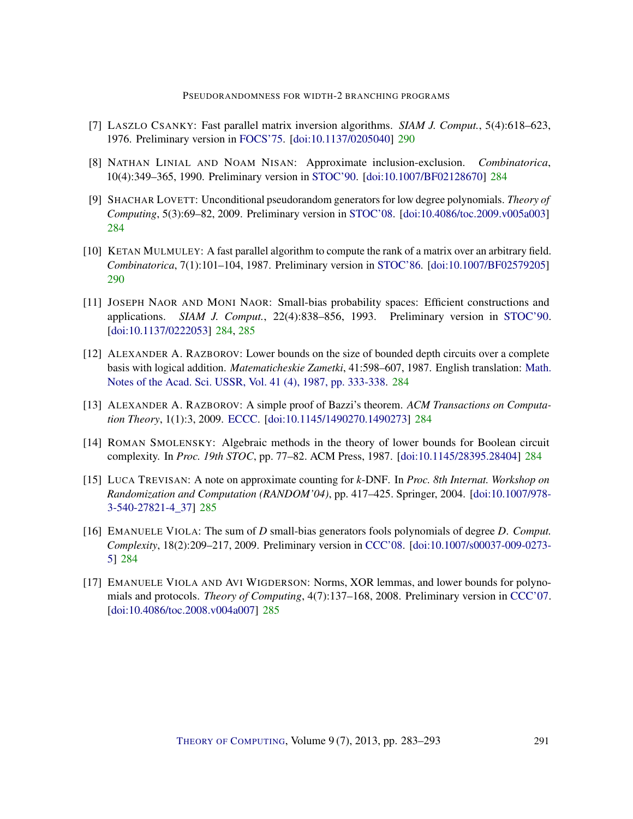- <span id="page-8-10"></span>[7] LASZLO CSANKY: Fast parallel matrix inversion algorithms. *SIAM J. Comput.*, 5(4):618–623, 1976. Preliminary version in [FOCS'75.](http://dx.doi.org/10.1109/SFCS.1975.14) [\[doi:10.1137/0205040\]](http://dx.doi.org/10.1137/0205040) [290](#page-7-6)
- <span id="page-8-5"></span>[8] NATHAN LINIAL AND NOAM NISAN: Approximate inclusion-exclusion. *Combinatorica*, 10(4):349–365, 1990. Preliminary version in [STOC'90.](http://dx.doi.org/10.1145/100216.100250) [\[doi:10.1007/BF02128670\]](http://dx.doi.org/10.1007/BF02128670) [284](#page-1-1)
- <span id="page-8-1"></span>[9] SHACHAR LOVETT: Unconditional pseudorandom generators for low degree polynomials. *Theory of Computing*, 5(3):69–82, 2009. Preliminary version in [STOC'08.](http://dx.doi.org/10.1145/1374376.1374455) [\[doi:10.4086/toc.2009.v005a003\]](http://dx.doi.org/10.4086/toc.2009.v005a003) [284](#page-1-1)
- <span id="page-8-9"></span>[10] KETAN MULMULEY: A fast parallel algorithm to compute the rank of a matrix over an arbitrary field. *Combinatorica*, 7(1):101–104, 1987. Preliminary version in [STOC'86.](http://dx.doi.org/10.1145/12130.12164) [\[doi:10.1007/BF02579205\]](http://dx.doi.org/10.1007/BF02579205) [290](#page-7-6)
- <span id="page-8-0"></span>[11] JOSEPH NAOR AND MONI NAOR: Small-bias probability spaces: Efficient constructions and applications. *SIAM J. Comput.*, 22(4):838–856, 1993. Preliminary version in [STOC'90.](http://dx.doi.org/10.1145/100216.100244) [\[doi:10.1137/0222053\]](http://dx.doi.org/10.1137/0222053) [284,](#page-1-1) [285](#page-2-2)
- <span id="page-8-3"></span>[12] ALEXANDER A. RAZBOROV: Lower bounds on the size of bounded depth circuits over a complete basis with logical addition. *Matematicheskie Zametki*, 41:598–607, 1987. English translation: [Math.](http://link.springer.com/article/10.1007%2FBF01137685) [Notes of the Acad. Sci. USSR, Vol. 41 \(4\), 1987, pp. 333-338.](http://link.springer.com/article/10.1007%2FBF01137685) [284](#page-1-1)
- <span id="page-8-6"></span>[13] ALEXANDER A. RAZBOROV: A simple proof of Bazzi's theorem. *ACM Transactions on Computation Theory*, 1(1):3, 2009. [ECCC.](http://eccc.hpi-web.de/report/2008/081/) [\[doi:10.1145/1490270.1490273\]](http://dx.doi.org/10.1145/1490270.1490273) [284](#page-1-1)
- <span id="page-8-4"></span>[14] ROMAN SMOLENSKY: Algebraic methods in the theory of lower bounds for Boolean circuit complexity. In *Proc. 19th STOC*, pp. 77–82. ACM Press, 1987. [\[doi:10.1145/28395.28404\]](http://dx.doi.org/10.1145/28395.28404) [284](#page-1-1)
- <span id="page-8-8"></span>[15] LUCA TREVISAN: A note on approximate counting for *k*-DNF. In *Proc. 8th Internat. Workshop on Randomization and Computation (RANDOM'04)*, pp. 417–425. Springer, 2004. [\[doi:10.1007/978-](http://dx.doi.org/10.1007/978-3-540-27821-4_37) [3-540-27821-4\\_37\]](http://dx.doi.org/10.1007/978-3-540-27821-4_37) [285](#page-2-2)
- <span id="page-8-2"></span>[16] EMANUELE VIOLA: The sum of *D* small-bias generators fools polynomials of degree *D*. *Comput. Complexity*, 18(2):209–217, 2009. Preliminary version in [CCC'08.](http://dx.doi.org/10.1109/CCC.2008.16) [\[doi:10.1007/s00037-009-0273-](http://dx.doi.org/10.1007/s00037-009-0273-5) [5\]](http://dx.doi.org/10.1007/s00037-009-0273-5) [284](#page-1-1)
- <span id="page-8-7"></span>[17] EMANUELE VIOLA AND AVI WIGDERSON: Norms, XOR lemmas, and lower bounds for polynomials and protocols. *Theory of Computing*, 4(7):137–168, 2008. Preliminary version in [CCC'07.](http://dx.doi.org/10.1109/CCC.2007.15) [\[doi:10.4086/toc.2008.v004a007\]](http://dx.doi.org/10.4086/toc.2008.v004a007) [285](#page-2-2)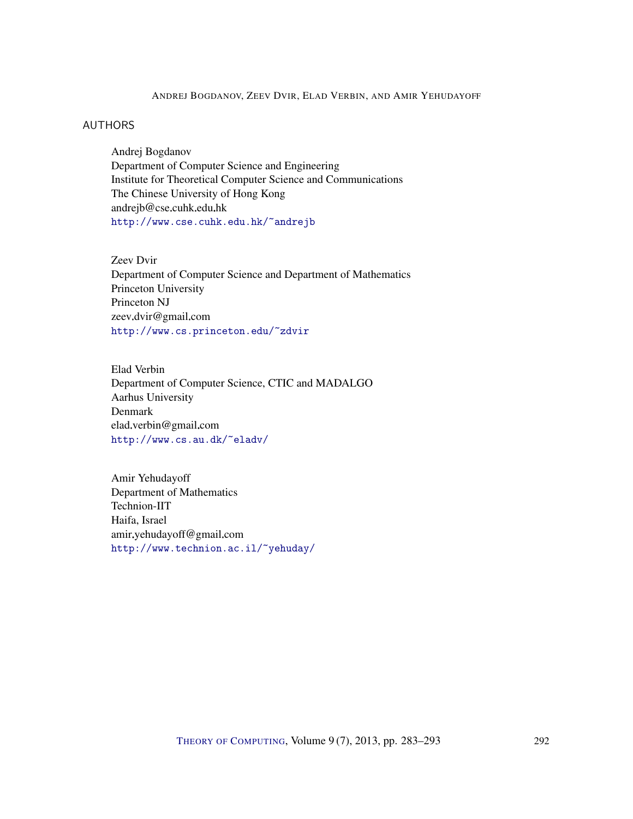### ANDREJ BOGDANOV, ZEEV DVIR, ELAD VERBIN, AND AMIR YEHUDAYOFF

## <span id="page-9-0"></span>AUTHORS

Andrej Bogdanov Department of Computer Science and Engineering Institute for Theoretical Computer Science and Communications The Chinese University of Hong Kong andrejb@cse.cuhk.edu.hk <http://www.cse.cuhk.edu.hk/~andrejb>

<span id="page-9-1"></span>Zeev Dvir Department of Computer Science and Department of Mathematics Princeton University Princeton NJ zeev.dvir@gmail.com <http://www.cs.princeton.edu/~zdvir>

<span id="page-9-2"></span>Elad Verbin Department of Computer Science, CTIC and MADALGO Aarhus University Denmark elad.verbin@gmail.com <http://www.cs.au.dk/~eladv/>

<span id="page-9-3"></span>Amir Yehudayoff Department of Mathematics Technion-IIT Haifa, Israel amir yehudayoff@gmail.com <http://www.technion.ac.il/~yehuday/>